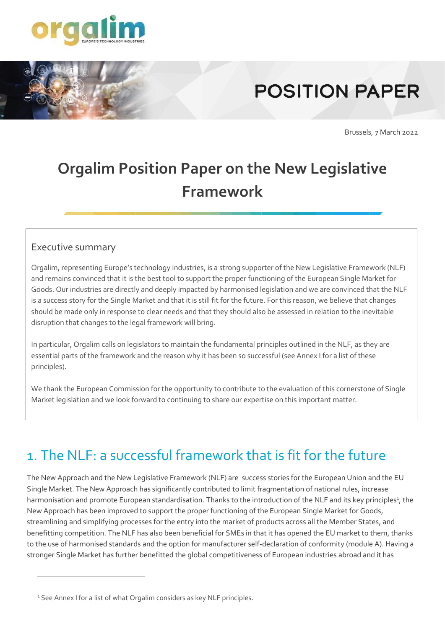

# **POSITION PAPER**

Brussels, 7 March 2022

# **Orgalim Position Paper on the New Legislative Framework**

#### Executive summary

Orgalim, representing Europe's technology industries, is a strong supporter of the New Legislative Framework (NLF) and remains convinced that it is the best tool to support the proper functioning of the European Single Market for Goods. Our industries are directly and deeply impacted by harmonised legislation and we are convinced that the NLF is a success story for the Single Market and that it is still fit for the future. For this reason, we believe that changes should be made only in response to clear needs and that they should also be assessed in relation to the inevitable disruption that changes to the legal framework will bring.

In particular, Orgalim calls on legislators to maintain the fundamental principles outlined in the NLF, as they are essential parts of the framework and the reason why it has been so successful (see Annex I for a list of these principles).

We thank the European Commission for the opportunity to contribute to the evaluation of this cornerstone of Single Market legislation and we look forward to continuing to share our expertise on this important matter.

# 1. The NLF: a successful framework that is fit for the future

The New Approach and the New Legislative Framework (NLF) are success stories for the European Union and the EU Single Market. The New Approach has significantly contributed to limit fragmentation of national rules, increase harmonisation and promote European standardisation. Thanks to the introduction of the NLF and its key principles<sup>1</sup>, the New Approach has been improved to support the proper functioning of the European Single Market for Goods, streamlining and simplifying processes for the entry into the market of products across all the Member States, and benefitting competition. The NLF has also been beneficial for SMEs in that it has opened the EU market to them, thanks to the use of harmonised standards and the option for manufacturer self-declaration of conformity (module A). Having a stronger Single Market has further benefitted the global competitiveness of European industries abroad and it has

<sup>&</sup>lt;sup>1</sup> See Annex I for a list of what Orgalim considers as key NLF principles.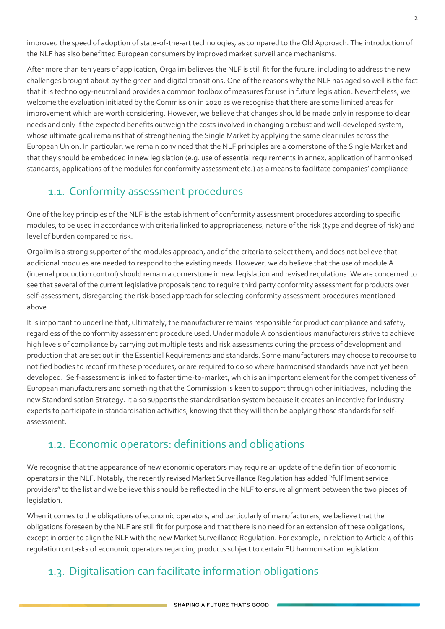improved the speed of adoption of state-of-the-art technologies, as compared to the Old Approach. The introduction of the NLF has also benefitted European consumers by improved market surveillance mechanisms.

After more than ten years of application, Orgalim believes the NLF is still fit for the future, including to address the new challenges brought about by the green and digital transitions. One of the reasons why the NLF has aged so well is the fact that it is technology-neutral and provides a common toolbox of measures for use in future legislation. Nevertheless, we welcome the evaluation initiated by the Commission in 2020 as we recognise that there are some limited areas for improvement which are worth considering. However, we believe that changes should be made only in response to clear needs and only if the expected benefits outweigh the costs involved in changing a robust and well-developed system, whose ultimate goal remains that of strengthening the Single Market by applying the same clear rules across the European Union. In particular, we remain convinced that the NLF principles are a cornerstone of the Single Market and that they should be embedded in new legislation (e.g. use of essential requirements in annex, application of harmonised standards, applications of the modules for conformity assessment etc.) as a means to facilitate companies' compliance.

## 1.1. Conformity assessment procedures

One of the key principles of the NLF is the establishment of conformity assessment procedures according to specific modules, to be used in accordance with criteria linked to appropriateness, nature of the risk (type and degree of risk) and level of burden compared to risk.

Orgalim is a strong supporter of the modules approach, and of the criteria to select them, and does not believe that additional modules are needed to respond to the existing needs. However, we do believe that the use of module A (internal production control) should remain a cornerstone in new legislation and revised regulations. We are concerned to see that several of the current legislative proposals tend to require third party conformity assessment for products over self-assessment, disregarding the risk-based approach for selecting conformity assessment procedures mentioned above.

It is important to underline that, ultimately, the manufacturer remains responsible for product compliance and safety, regardless of the conformity assessment procedure used. Under module A conscientious manufacturers strive to achieve high levels of compliance by carrying out multiple tests and risk assessments during the process of development and production that are set out in the Essential Requirements and standards. Some manufacturers may choose to recourse to notified bodies to reconfirm these procedures, or are required to do so where harmonised standards have not yet been developed. Self-assessment is linked to faster time-to-market, which is an important element for the competitiveness of European manufacturers and something that the Commission is keen to support through other initiatives, including the new Standardisation Strategy. It also supports the standardisation system because it creates an incentive for industry experts to participate in standardisation activities, knowing that they will then be applying those standards for selfassessment.

#### 1.2. Economic operators: definitions and obligations

We recognise that the appearance of new economic operators may require an update of the definition of economic operators in the NLF. Notably, the recently revised Market Surveillance Regulation has added "fulfilment service providers" to the list and we believe this should be reflected in the NLF to ensure alignment between the two pieces of legislation.

When it comes to the obligations of economic operators, and particularly of manufacturers, we believe that the obligations foreseen by the NLF are still fit for purpose and that there is no need for an extension of these obligations, except in order to align the NLF with the new Market Surveillance Regulation. For example, in relation to Article 4 of this regulation on tasks of economic operators regarding products subject to certain EU harmonisation legislation.

## 1.3. Digitalisation can facilitate information obligations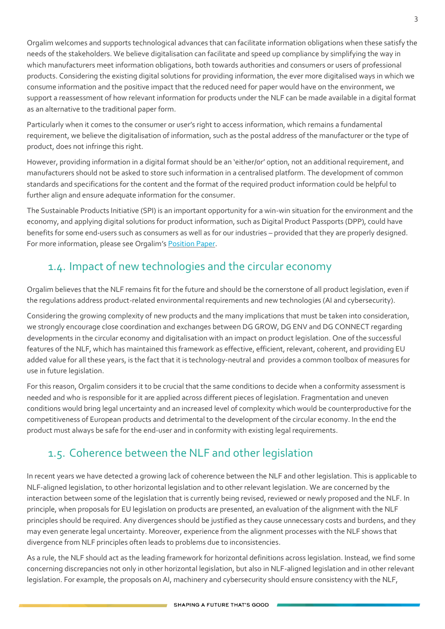Orgalim welcomes and supports technological advances that can facilitate information obligations when these satisfy the needs of the stakeholders. We believe digitalisation can facilitate and speed up compliance by simplifying the way in which manufacturers meet information obligations, both towards authorities and consumers or users of professional products. Considering the existing digital solutions for providing information, the ever more digitalised ways in which we consume information and the positive impact that the reduced need for paper would have on the environment, we support a reassessment of how relevant information for products under the NLF can be made available in a digital format as an alternative to the traditional paper form.

Particularly when it comes to the consumer or user's right to access information, which remains a fundamental requirement, we believe the digitalisation of information, such as the postal address of the manufacturer or the type of product, does not infringe this right.

However, providing information in a digital format should be an 'either/or' option, not an additional requirement, and manufacturers should not be asked to store such information in a centralised platform. The development of common standards and specifications for the content and the format of the required product information could be helpful to further align and ensure adequate information for the consumer.

The Sustainable Products Initiative (SPI) is an important opportunity for a win-win situation for the environment and the economy, and applying digital solutions for product information, such as Digital Product Passports (DPP), could have benefits for some end-users such as consumers as well as for our industries – provided that they are properly designed. For more information, please see Orgalim's [Position Paper.](https://orgalim.eu/position-papers/environment-orgalim-position-sustainable-products-initiative-0)

## 1.4. Impact of new technologies and the circular economy

Orgalim believes that the NLF remains fit for the future and should be the cornerstone of all product legislation, even if the regulations address product-related environmental requirements and new technologies (AI and cybersecurity).

Considering the growing complexity of new products and the many implications that must be taken into consideration, we strongly encourage close coordination and exchanges between DG GROW, DG ENV and DG CONNECT regarding developments in the circular economy and digitalisation with an impact on product legislation. One of the successful features of the NLF, which has maintained this framework as effective, efficient, relevant, coherent, and providing EU added value for all these years, is the fact that it is technology-neutral and provides a common toolbox of measures for use in future legislation.

For this reason, Orgalim considers it to be crucial that the same conditions to decide when a conformity assessment is needed and who is responsible for it are applied across different pieces of legislation. Fragmentation and uneven conditions would bring legal uncertainty and an increased level of complexity which would be counterproductive for the competitiveness of European products and detrimental to the development of the circular economy. In the end the product must always be safe for the end-user and in conformity with existing legal requirements.

## 1.5. Coherence between the NLF and other legislation

In recent years we have detected a growing lack of coherence between the NLF and other legislation. This is applicable to NLF-aligned legislation, to other horizontal legislation and to other relevant legislation. We are concerned by the interaction between some of the legislation that is currently being revised, reviewed or newly proposed and the NLF. In principle, when proposals for EU legislation on products are presented, an evaluation of the alignment with the NLF principles should be required. Any divergences should be justified as they cause unnecessary costs and burdens, and they may even generate legal uncertainty. Moreover, experience from the alignment processes with the NLF shows that divergence from NLF principles often leads to problems due to inconsistencies.

As a rule, the NLF should act as the leading framework for horizontal definitions across legislation. Instead, we find some concerning discrepancies not only in other horizontal legislation, but also in NLF-aligned legislation and in other relevant legislation. For example, the proposals on AI, machinery and cybersecurity should ensure consistency with the NLF,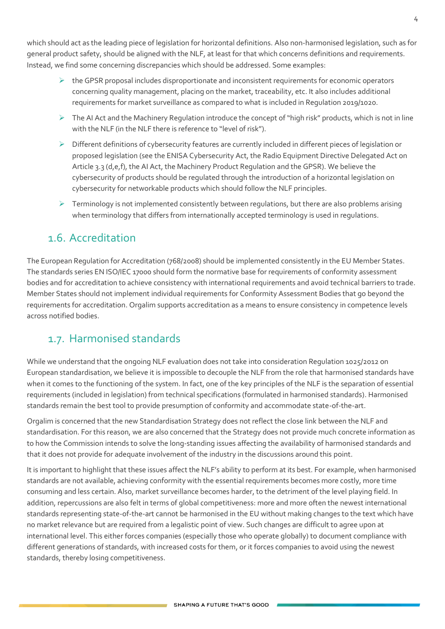which should act as the leading piece of legislation for horizontal definitions. Also non-harmonised legislation, such as for general product safety, should be aligned with the NLF, at least for that which concerns definitions and requirements. Instead, we find some concerning discrepancies which should be addressed. Some examples:

- $\triangleright$  the GPSR proposal includes disproportionate and inconsistent requirements for economic operators concerning quality management, placing on the market, traceability, etc. It also includes additional requirements for market surveillance as compared to what is included in Regulation 2019/1020.
- $\triangleright$  The AI Act and the Machinery Regulation introduce the concept of "high risk" products, which is not in line with the NLF (in the NLF there is reference to "level of risk").
- ➢ Different definitions of cybersecurity features are currently included in different pieces of legislation or proposed legislation (see the ENISA Cybersecurity Act, the Radio Equipment Directive Delegated Act on Article 3.3 (d,e,f), the AI Act, the Machinery Product Regulation and the GPSR). We believe the cybersecurity of products should be regulated through the introduction of a horizontal legislation on cybersecurity for networkable products which should follow the NLF principles.
- $\triangleright$  Terminology is not implemented consistently between regulations, but there are also problems arising when terminology that differs from internationally accepted terminology is used in regulations.

#### 1.6. Accreditation

The European Regulation for Accreditation (768/2008) should be implemented consistently in the EU Member States. The standards series EN ISO/IEC 17000 should form the normative base for requirements of conformity assessment bodies and for accreditation to achieve consistency with international requirements and avoid technical barriers to trade. Member States should not implement individual requirements for Conformity Assessment Bodies that go beyond the requirements for accreditation. Orgalim supports accreditation as a means to ensure consistency in competence levels across notified bodies.

#### 1.7. Harmonised standards

While we understand that the ongoing NLF evaluation does not take into consideration Regulation 1025/2012 on European standardisation, we believe it is impossible to decouple the NLF from the role that harmonised standards have when it comes to the functioning of the system. In fact, one of the key principles of the NLF is the separation of essential requirements (included in legislation) from technical specifications (formulated in harmonised standards). Harmonised standards remain the best tool to provide presumption of conformity and accommodate state-of-the-art.

Orgalim is concerned that the new Standardisation Strategy does not reflect the close link between the NLF and standardisation. For this reason, we are also concerned that the Strategy does not provide much concrete information as to how the Commission intends to solve the long-standing issues affecting the availability of harmonised standards and that it does not provide for adequate involvement of the industry in the discussions around this point.

It is important to highlight that these issues affect the NLF's ability to perform at its best. For example, when harmonised standards are not available, achieving conformity with the essential requirements becomes more costly, more time consuming and less certain. Also, market surveillance becomes harder, to the detriment of the level playing field. In addition, repercussions are also felt in terms of global competitiveness: more and more often the newest international standards representing state-of-the-art cannot be harmonised in the EU without making changes to the text which have no market relevance but are required from a legalistic point of view. Such changes are difficult to agree upon at international level. This either forces companies (especially those who operate globally) to document compliance with different generations of standards, with increased costs for them, or it forces companies to avoid using the newest standards, thereby losing competitiveness.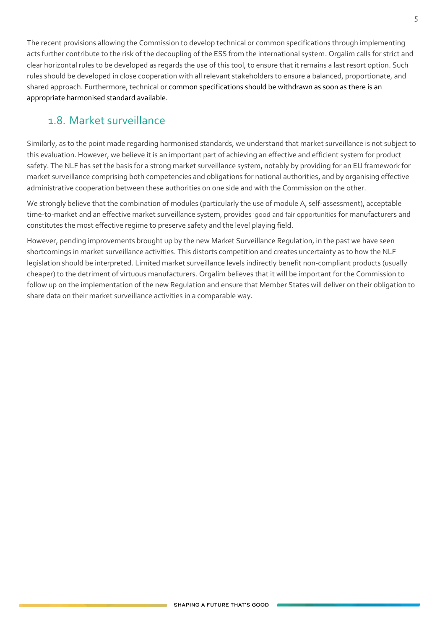The recent provisions allowing the Commission to develop technical or common specifications through implementing acts further contribute to the risk of the decoupling of the ESS from the international system. Orgalim calls for strict and clear horizontal rules to be developed as regards the use of this tool, to ensure that it remains a last resort option. Such rules should be developed in close cooperation with all relevant stakeholders to ensure a balanced, proportionate, and shared approach. Furthermore, technical or common specifications should be withdrawn as soon as there is an appropriate harmonised standard available.

#### 1.8. Market surveillance

Similarly, as to the point made regarding harmonised standards, we understand that market surveillance is not subject to this evaluation. However, we believe it is an important part of achieving an effective and efficient system for product safety. The NLF has set the basis for a strong market surveillance system, notably by providing for an EU framework for market surveillance comprising both competencies and obligations for national authorities, and by organising effective administrative cooperation between these authorities on one side and with the Commission on the other.

We strongly believe that the combination of modules (particularly the use of module A, self-assessment), acceptable time-to-market and an effective market surveillance system, provides 'good and fair opportunities for manufacturers and constitutes the most effective regime to preserve safety and the level playing field.

However, pending improvements brought up by the new Market Surveillance Regulation, in the past we have seen shortcomings in market surveillance activities. This distorts competition and creates uncertainty as to how the NLF legislation should be interpreted. Limited market surveillance levels indirectly benefit non-compliant products (usually cheaper) to the detriment of virtuous manufacturers. Orgalim believes that it will be important for the Commission to follow up on the implementation of the new Regulation and ensure that Member States will deliver on their obligation to share data on their market surveillance activities in a comparable way.